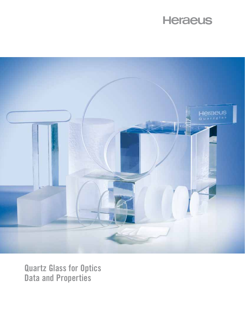# **Heraeus**



**Quartz Glass for Optics Data and Properties**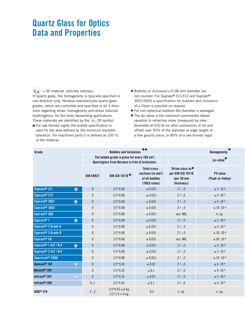# **Quartz Glass for Optics Data and Properties**

 $\langle \psi_{\hat{y}} \rangle$  = 3D material, optically isotropic. In quartz glass, the homogeneity is typically specified in one direction only. Heraeus manufactures quartz glass grades, which are controlled and specified in all 3 directions regarding striae, homogeneity and stress induced birefringence, for the most demanding applications. These materials are identified by the  $\sqrt[3]{\bullet}$  3D symbol.

- $\bullet$  For raw formed ingots the bubble specification is valid for the area defined by the minimum diameter tolerance. For machined parts it is defined as 100 % of the material.
- <sup>2</sup> Bubbles or inclusions ≤ 0.08 mm diameter are not counted. For Suprasil® 311/312 and Suprasil® 3001/3002 a specification for bubbles and inclusions of ≤ 10µm is possible on request.
- $\bullet$  For non-spherical bubbles the diameter is averaged.
- $\bullet$  The  $\Delta$ n value is the maximum permissible lateral variation in refractive index (measured by interferometer at 632.8 nm after subtraction of tilt and offset) over 90% of the diameter or edge length of a fine ground piece, or 80% of a raw formed ingot.

| Grade                             |                         |                                                                                                              | <b>Bubbles and Inclusions</b>           | $\bullet$                                                                        |                                                                                | ❺<br><b>Homogeneity</b>      |
|-----------------------------------|-------------------------|--------------------------------------------------------------------------------------------------------------|-----------------------------------------|----------------------------------------------------------------------------------|--------------------------------------------------------------------------------|------------------------------|
|                                   |                         | The bubble grade is given for every 100 cm <sup>3</sup> .<br>Quartzglass from Heraeus is free of inclusions. |                                         |                                                                                  | $\Delta$ n-value                                                               |                              |
|                                   |                         | <b>DIN 58927</b>                                                                                             | DIN ISO 10110 <sup><sup>®</sup></sup>   | Total cross-<br>sections (in mm <sup>2</sup> )<br>of all bubbles<br>(TBCS value) | Striae class as <sup>@</sup><br>per DIN ISO 10110<br>$per 30$ mm<br>thickness) | PV value<br>(Peak-to-Valley) |
| Suprasil <sup>®</sup> 311         | ◈                       | $\pmb{0}$                                                                                                    | $1/1*0.08$                              | $\leq 0.015$                                                                     | $2 / -15$                                                                      | $\leq 3\cdot 10^{-6}$        |
| Suprasil <sup>®</sup> 312         |                         | $\mathbf 0$                                                                                                  | $1/1*0.08$                              | $\leq 0.015$                                                                     | $2/-;5$                                                                        | $\leq 4 \cdot 10^{-6}$       |
| Suprasil <sup>®</sup> 3001        | ◈                       | $\mathbf{0}$                                                                                                 | $1/1*0.08$                              | $\leq 0.015$                                                                     | $2 / -15$                                                                      | $\leq 4\cdot 10^{-6}$        |
| Suprasil <sup>®</sup> 3002        |                         | $\mathbf 0$                                                                                                  | $1/1*0.08$                              | $\leq 0.015$                                                                     | $2 / -15$                                                                      | $\leq 10\cdot 10^{-6}$       |
| Suprasil <sup>®</sup> 300         |                         | $\mathbf 0$                                                                                                  | $1/1*0.08$                              | $\leq 0.015$                                                                     | acc. MIL                                                                       | n. sp.                       |
| Suprasil <sup>®</sup> 1           | ◈                       | $\mathbf{0}$                                                                                                 | $1/1*0.08$                              | $\leq 0.015$                                                                     | $2 / -15$                                                                      | $\leq 5\cdot 10^{-6}$        |
| Suprasil® 2 Grade A               |                         | $\pmb{0}$                                                                                                    | $1/1*0.08$                              | $\leq 0.015$                                                                     | $2 / -15$                                                                      | $\leq 5\cdot 10^{-6}$        |
| Suprasil® 2 Grade B               |                         | $\pmb{0}$                                                                                                    | $1/1*0.08$                              | $\leq 0.015$                                                                     | $2/-;5$                                                                        | $\leq 10\cdot 10^{-6}$       |
| Suprasil <sup>®</sup> CG          |                         | $\mathbf{0}$                                                                                                 | $1/1*0.08$                              | $\leq 0.015$                                                                     | acc. MIL                                                                       | $\leq 30\cdot 10^{-6}$       |
| Suprasil <sup>®</sup> 1 ArF / KrF | $\bullet$               | $\pmb{0}$                                                                                                    | $1/1*0.08$                              | $\leq 0.015$                                                                     | $2/-;5$                                                                        | $\leq 5\cdot 10^{-6}$        |
| Suprasil® 2 ArF / KrF             |                         | $\pmb{0}$                                                                                                    | $1/1*0.08$                              | $\leq 0.015$                                                                     | $2/-;5$                                                                        | $\leq 5\cdot 10^{-6}$        |
| Spectrosil <sup>®</sup> 2000      |                         | $\mathbf 0$                                                                                                  | $1/1*0.08$                              | $\leq 0.015$                                                                     | $2 / -15$                                                                      | $\leq 10\cdot 10^{-6}$       |
| Homosil <sup>®</sup> 101          | $\delta_{\rm eff}$      | $\mathbf{0}$                                                                                                 | $1/2*0.10$                              | $\leq 0.03$                                                                      | $2/-;5$                                                                        | $\leq 3\cdot 10^{-6}$        |
| Herasil <sup>®</sup> 102          |                         | $\mathbf 0$                                                                                                  | $1/1*0.20$                              | $\leq 0.1$                                                                       | $2/-;5$                                                                        | $\leq 4\cdot 10^{-6}$        |
| Infrasil <sup>®</sup> 301         | $\sqrt{\frac{1}{2}g}$ . | $\mathbf{0}$                                                                                                 | $1/1*0.16$                              | $\leq 0.03$                                                                      | $2/-;5$                                                                        | $\leq 5\cdot 10^{-6}$        |
| Infrasil <sup>®</sup> $302$       |                         | 0.1                                                                                                          | $1/1*0.35$                              | $\leq 0.1$                                                                       | $2/-;5$                                                                        | $\leq 6\cdot 10^{-6}$        |
| HOQ <sup>®</sup> 310              |                         | 23                                                                                                           | $1/1*0.63 \le 6$ kg<br>$1/2*1.0 > 6$ kg | 0.5                                                                              | n. sp.                                                                         | n. sp.                       |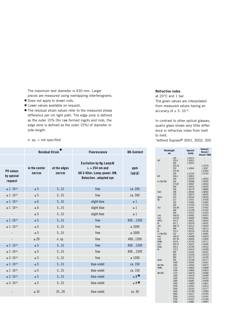The maximum test diameter is 430 mm. Larger pieces are measured using overlapping interferograms.

- **O** Does not apply to drawn rods.
- <sup>6</sup> Lower values available on request.
- **•** The residual strain values refer to the measured phase difference per cm light path. The edge zone is defined as the outer 10% (for raw formed ingots and rods, the edge zone is defined as the outer 15%) of diameter or side-length.

#### n. sp. = not specified

|                                    |                        | Residual Strain <sup>o</sup> | Fluorescence                                                                                                | OH-Content         |
|------------------------------------|------------------------|------------------------------|-------------------------------------------------------------------------------------------------------------|--------------------|
| PV values<br>by special<br>request | in the center<br>nm/cm | at the edges<br>nm/cm        | Excitation by Hg-Lamp@<br>$\lambda = 254$ nm and<br>UG 5-filter; Lamp-power: 8W,<br>Detection : adapted eye | ppm<br>$(\mu g/g)$ |
| $\leq 1\cdot 10^{-6}$              | $\leq 5$               | 515                          | free                                                                                                        | ca. 200            |
| $\leq 1\cdot 10^{-6}$              | $\leq 5$               | 515                          | free                                                                                                        | ca. 200            |
| $\leq 1\cdot 10^{-6}$              | $\leq 6$               | 515                          | slight blue                                                                                                 | $\leq 1$           |
| $\leq 1\cdot 10^{-6}$              | $\leq 6$               | 515                          | slight blue                                                                                                 | $\leq 1$           |
| $\sim$                             | $\leq 5$               | 515                          | slight blue                                                                                                 | $\leq 1$           |
| $\leq 1\cdot 10^{-6}$              | $\leq 5$               | 515                          | free                                                                                                        | 4001200            |
| $\leq 1\cdot 10^{-6}$              | $\leq 5$               | 515                          | free                                                                                                        | $\leq 1000$        |
| $\sim$                             | $\leq 5$               | 515                          | free                                                                                                        | $\leq 1000$        |
| $\sim$                             | $\leq 20$              | n. sp.                       | free                                                                                                        | 4001200            |
| $\leq 1\cdot 10^{-6}$              | $\leq 5$               | 515                          | free                                                                                                        | 4001200            |
| $\leq 1\cdot 10^{-6}$              | $\leq 5$               | 515                          | free                                                                                                        | 4001200            |
| $\leq 3\cdot 10^{-6}$              | $\leq 5$               | 515                          | free                                                                                                        | $\leq 1200$        |
| $\leq 1\cdot 10^{-6}$              | $\leq 5$               | 515                          | blue-violet                                                                                                 | ca. 150            |
| $\leq 1\cdot 10^{-6}$              | $\leq 5$               | 515                          | blue-violet                                                                                                 | ca. 150            |
| $\leq 2\cdot 10^{-6}$              | $\leq 5$               | 515                          | blue-violet                                                                                                 | $\leq 8^\circ$     |
| $\leq 3\cdot 10^{-6}$              | $\leq 5$               | 515                          | blue-violet                                                                                                 | $\leq 8$ $\odot$   |
| $\sim$                             | $\leq 10$              | 1020                         | blue-violet                                                                                                 | ca. 30             |

### **Refractive index**

at 20°C and 1 bar The given values are interpolated from measured values having an accuracy of  $\pm 3.10^{-5}$ .

In contrast to other optical glasses, quartz glass shows very little difference in refractive index from melt to melt.

\*without Suprasil® 3001, 3002, 300

|                    | Wavelength<br>nm                       | Suprasil-<br>family                                 | Homosil /<br>Herasil /<br>Infrasil / HOQ            |
|--------------------|----------------------------------------|-----------------------------------------------------|-----------------------------------------------------|
| ArF                | 190<br>193,4<br>200<br>202,54<br>220   | 1.56572<br>1,56013<br>1,55051<br>1,52845            | 1,54729<br>1.5287                                   |
| KrF                | 232,94<br>240<br>248,4<br>260          | 1,51334<br>1,50833<br>1,50239                       | 1,51834<br>1,51359<br>1,50264                       |
| 4 x Nd:YAG         | 266                                    | 1,49968                                             | 1,49993                                             |
|                    | 274,87                                 | 1,49607                                             | 1,49634                                             |
|                    | 280                                    | 1.49416                                             | 1.49439                                             |
| XeCI               | 300                                    | 1,48779                                             | 1.48800                                             |
|                    | 308                                    | 1,48564                                             | 1,48583                                             |
|                    | 320                                    | 1,48274                                             | 1,48292                                             |
| HeCd<br>N2         | 325<br>337<br>340<br>360               | 1.48164<br>1,47921<br>1,47865<br>1,47529            | 1.48182<br>1,47938<br>1,47881<br>1,47544            |
| (ni)               | 365,48                                 | 1,47447                                             | 1,47462                                             |
|                    | 380                                    | 1,47248                                             | 1,47262                                             |
|                    | 400                                    | 1,47012                                             | 1,47025                                             |
| (nh)               | 404,65                                 | 1,46962                                             | 1,46975                                             |
| (ng)               | 435,83                                 | 1,46669                                             | 1,46681                                             |
| HeCd               | 441,6                                  | 1,46622                                             | 1,46634                                             |
| Kr                 | 447,1                                  | 1,46578                                             | 1,46591                                             |
| (nF)               | 486,13                                 | 1,46313                                             | 1,46324                                             |
| Ar                 | 488                                    | 1,46301                                             | 1,46313                                             |
| Ar                 | 514,5                                  | 1,46156                                             | 1.46166                                             |
| 2 x Nd:YAG         | 532                                    | 1,46071                                             | 1,46081                                             |
| (ne)               | 546,07                                 | 1,46008                                             | 1,46018                                             |
| (nd)               | 587,56                                 | 1,45846                                             | 1,45856                                             |
| HeNe               | 632,8                                  | 1,45702                                             | 1,45711                                             |
| (nc)<br>Ruby<br>Kr | 656,27<br>694,3<br>752,5<br>800<br>850 | 1,45637<br>1,45542<br>1,45419<br>1,45332<br>1,45250 | 1,45646<br>1,45552<br>1,45428<br>1,45341<br>1,45259 |
| GaAs               | 900                                    | 1,45175                                             | 1,45185                                             |
|                    | 905                                    | 1,45168                                             | 1,45177                                             |
|                    | 1000                                   | 1,45042                                             | 1,45051                                             |
| Nd:YAG<br>HeNe     | 1064<br>1153<br>1200                   | 1,44963<br>1,44859<br>1,44805                       | 1,44972<br>1,44868<br>1,44815                       |
| Nd:YAG             | 1319                                   | 1.44670                                             | 1.44680                                             |
|                    | 1400                                   | 1,44578                                             | 1,44589                                             |
|                    | 1600                                   | 1,44342                                             | 1,44353                                             |
|                    | 1800                                   | 1,44087                                             | 1,44099                                             |
|                    | 2000                                   | 1,43809                                             | 1,43821                                             |
|                    | 2200                                   | 1,43501                                             | 1.43515                                             |
|                    | 2400                                   | 1,43163                                             | 1,43177                                             |
|                    | 2600                                   | 1,42789                                             | 1,42804                                             |
|                    | 2800                                   | 1.42377                                             | 1,42393                                             |
|                    | 3000                                   | 1,41925                                             | 1,41941                                             |
|                    | 3200                                   | 1,41427                                             | 1,41444                                             |
|                    | 3400                                   | 1,40881                                             | 1,40897                                             |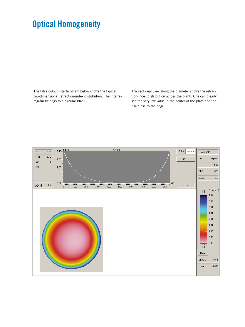# **Optical Homogeneity**

The false colour interferogram below shows the typical two-dimensional refraction-index distribution. The interferogram belongs to a circular blank.

The sectional view along the diameter shows the refraction-index distribution across the blank. One can clearly see the very low value in the center of the plate and the rise close to the edge.

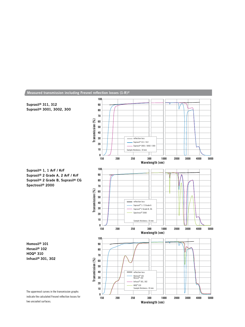

**Wavelength (nm)**

**Measured transmission including Fresnel reflection losses (1-R)2**

two uncoated surfaces.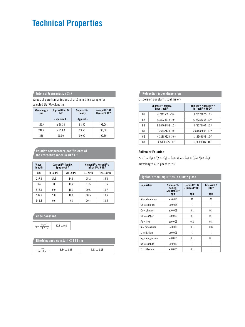# **Technical Properties**

## **Internal transmission (%)**

Values of pure transmissions of a 10 mm thick sample for selected UV-Wavelengths.

| Wavelength<br>n <sub>m</sub> | Suprasil <sup>®</sup> ArF/<br>KrF | $Suprasil^*$<br>family | Homosil <sup>®</sup> 101<br>Herasil <sup>®</sup> $102$ |
|------------------------------|-----------------------------------|------------------------|--------------------------------------------------------|
|                              | - specified -                     | - typical -            |                                                        |
| 193.4                        | $\geq 99.30$                      | 98.50                  | 92.00                                                  |
| 248.4                        | $\geq 99.80$                      | 99.50                  | 98.00                                                  |
| 266                          | 99.90                             | 99,90                  | 99.50                                                  |

#### **Relative temperature coefficients of the refractive index in 10-6 K-1**

| Wave-<br>length | Suprasil <sup>®</sup> -family,<br>Spectrosil <sup>®</sup> |                  | Homosil <sup>®</sup> / Herasil <sup>®</sup> /<br>Infrasil®/H0Q® |                  |  |
|-----------------|-----------------------------------------------------------|------------------|-----------------------------------------------------------------|------------------|--|
| nm              | $020^{\circ}C$                                            | $2040^{\circ}$ C | $020^{\circ}C$                                                  | $2040^{\circ}$ C |  |
| 237.8           | 14.6                                                      | 14.9             | 15,2                                                            | 15.3             |  |
| 365             | 11                                                        | 11,2             | 11.5                                                            | 11.6             |  |
| 546.1           | 9.9                                                       | 10.1             | 10.6                                                            | 10,7             |  |
| 587,6           | 9,8                                                       | 10.0             | 10.5                                                            | 10.6             |  |
| 643,8           | 9,6                                                       | 9,8              | 10,4                                                            | 10,5             |  |

#### **Abbe constant**

|  | $67,8 \pm 0,5$ |
|--|----------------|
|--|----------------|

| Birefringence constant @ 633 nm |                 |                 |  |  |  |
|---------------------------------|-----------------|-----------------|--|--|--|
| nm<br>$cm \cdot bar$            | $3.54 \pm 0.05$ | $3.61 \pm 0.05$ |  |  |  |

## **Refraction index dispersion**

Dispersion constants (Sellmeier)

|                | Suprasil <sup>®</sup> -family,<br><b>Spectrosil®</b> | Homosil® / Herasil® /<br>Infrasi@/HO@@ |
|----------------|------------------------------------------------------|----------------------------------------|
| B1             | $4.73115591 \cdot 10^{-1}$                           | 4.76523070 - 10-1                      |
| B <sub>2</sub> | $6.31038719 \cdot 10^{-1}$                           | $6,27786368 \cdot 10^{-1}$             |
| B <sub>3</sub> | $9.06404498 \cdot 10^{-1}$                           | $8.72274404 \cdot 10^{-1}$             |
| C <sub>1</sub> | $1.29957170 \cdot 10^{-2}$                           | $2.84888095 \cdot 10^{-3}$             |
| C <sub>2</sub> | 4.12809220 · 10-3                                    | $1.18369052 \cdot 10^{-2}$             |
| C <sub>3</sub> | $9,87685322 \cdot 10^{1}$                            | $9.56856012 \cdot 101$                 |

#### **Sellmeier Equation:**

 $n^2 - 1 = B_1 \lambda^2 /(\lambda^2 - C_1) + B_2 \lambda^2 /(\lambda^2 - C_2) + B_3 \lambda^2 /(\lambda^2 - C_3)$ Wavelength  $\lambda$  in µm at 20°C

### **Typical trace impurities in quartz glass**

| <b>Impurities</b>       | $Suprasi®$ -<br>family,<br><b>Spectrosil®</b><br>ppm | Herasil <sup>®</sup> 102<br>/Homosil <sup>®</sup> 101<br>ppm | Infrasil <sup>®</sup> /<br><b>HOQ®</b><br>ppm |
|-------------------------|------------------------------------------------------|--------------------------------------------------------------|-----------------------------------------------|
| $Al =$ aluminium        | $\le 0.010$                                          | 10                                                           | 20                                            |
| $Ca = calcium$          | $\leq 0.015$                                         | 1                                                            | 1                                             |
| $Cr =$ chrome           | $\leq 0.001$                                         | 0,1                                                          | 0,1                                           |
| $Cu = copper$           | $\le 0.003$                                          | 0,1                                                          | 0,1                                           |
| $Fe = iron$             | $\le 0.005$                                          | 0,2                                                          | 0,8                                           |
| $K = \text{potas}$ sium | $\le 0.010$                                          | 0,1                                                          | 0,8                                           |
| $Li = Iithium$          | $\leq 0.001$                                         | 1                                                            | 1                                             |
| $Mg$ = magnesium        | $\le 0.005$                                          | 0,1                                                          | 0,1                                           |
| $Na = sodium$           | $\le 0.010$                                          | 1                                                            | 1                                             |
| $Ti = titanium$         | $\le 0.005$                                          | 0,1                                                          | 1                                             |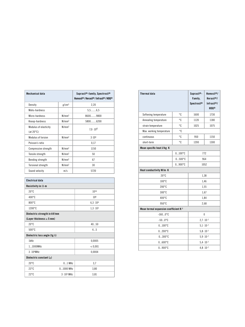| Mechanical data                              |                   | Suprasil®-family, Spectrosil®<br>Homosil <sup>®</sup> / Herasil <sup>®</sup> / Infrasil <sup>®</sup> / HOQ <sup>®</sup> |
|----------------------------------------------|-------------------|-------------------------------------------------------------------------------------------------------------------------|
| Density                                      | g/cm <sup>3</sup> | 2,20                                                                                                                    |
| Mohs-hardness                                |                   | $5, 5, \ldots, 6, 5$                                                                                                    |
| Micro-hardness                               | N/mm <sup>2</sup> | 86009800                                                                                                                |
| Knoop-hardness                               | N/mm <sup>2</sup> | 58006200                                                                                                                |
| Modulus of elasticity<br>(at $20^{\circ}$ C) | N/mm <sup>2</sup> | $7.0 \cdot 10^{4}$                                                                                                      |
| Modulus of torsion                           | N/mm <sup>2</sup> | 3.10 <sup>4</sup>                                                                                                       |
| Poisson's ratio                              |                   | 0,17                                                                                                                    |
| Compressive strength                         | N/mm <sup>2</sup> | 1150                                                                                                                    |
| Tensile strength                             | N/mm <sup>2</sup> | 50                                                                                                                      |
| Bending strength                             | N/mm <sup>2</sup> | 67                                                                                                                      |
| <b>Torsional strength</b>                    | N/mm <sup>2</sup> | 30                                                                                                                      |
| Sound velocity                               | m/s               | 5720                                                                                                                    |

| <b>Electrical data</b>               |                                     |                     |  |  |  |
|--------------------------------------|-------------------------------------|---------------------|--|--|--|
| Resistivity in $\Omega$ ·m           |                                     |                     |  |  |  |
| $20^{\circ}$ C                       |                                     | 1016                |  |  |  |
| $400^{\circ}$ C                      |                                     | 10 <sup>8</sup>     |  |  |  |
| $800^{\circ}$ C                      |                                     | $6, 3 \cdot 10^{4}$ |  |  |  |
| 1200°C                               |                                     | $1, 3 \cdot 10^{3}$ |  |  |  |
| Dielectric strength in kV/mm         |                                     |                     |  |  |  |
| (Layer thickness $\geq 5$ mm)        |                                     |                     |  |  |  |
| $20^{\circ}$ C                       |                                     | 4050                |  |  |  |
| $500^{\circ}$ C                      |                                     | 45                  |  |  |  |
| Dielectric loss angle (tg $\delta$ ) |                                     |                     |  |  |  |
| 1kHz                                 |                                     | 0,0005              |  |  |  |
| 11000MHz                             |                                     | < 0,001             |  |  |  |
| $3.104$ MHz                          |                                     | 0,0004              |  |  |  |
|                                      | Dielectric constant $(\varepsilon)$ |                     |  |  |  |
| $20^{\circ}$ C                       | $01$ MHz                            | 3,7                 |  |  |  |
| $23^{\circ}$ C                       | $01000$ MHz                         | 3,80                |  |  |  |
| $23^{\circ}$ C                       | $3 \cdot 10^4$ MHz                  | 3,81                |  |  |  |

| <b>Thermal data</b>                   |                     | $Suprasil®$ -<br>Family,<br>Spectrosil® | Homosil <sup>®</sup> /<br>Herasil <sup>®</sup> /<br>Infrasil <sup>®/</sup><br><b>HOQ®</b> |
|---------------------------------------|---------------------|-----------------------------------------|-------------------------------------------------------------------------------------------|
| Softening temperature                 | °C                  | 1600                                    | 1730                                                                                      |
| Annealing temperature                 | ۰c                  | 1120                                    | 1180                                                                                      |
| strain temperature                    | °C                  | 1025                                    | 1075                                                                                      |
| Max. working temperature              | °C                  |                                         |                                                                                           |
| continuous                            | °C                  | 950                                     | 1150                                                                                      |
| short-term                            | °C                  | 1200                                    | 1300                                                                                      |
| Mean specific heat J/kg · K           |                     |                                         |                                                                                           |
|                                       | $0100^{\circ}C$     |                                         | 772                                                                                       |
|                                       | $0500^{\circ}C$     | 964                                     |                                                                                           |
|                                       | $0900^{\circ}C$     | 1052                                    |                                                                                           |
| Heat conductivity W/m · K             |                     |                                         |                                                                                           |
| $20^{\circ}$ C                        |                     | 1,38                                    |                                                                                           |
| 100°C                                 |                     | 1,46                                    |                                                                                           |
| $200^{\circ}$ C                       |                     | 1,55                                    |                                                                                           |
| $300^{\circ}$ C                       |                     | 1,67                                    |                                                                                           |
| $400^{\circ}$ C                       |                     | 1,84                                    |                                                                                           |
| $950^{\circ}$ C                       |                     | 2,68                                    |                                                                                           |
| Mean termal expansion coefficient K-1 |                     |                                         |                                                                                           |
| $-1600$ °C                            |                     | $\mathbf{0}$                            |                                                                                           |
| $-500$ °C                             |                     | $2,7 \cdot 10^{-7}$                     |                                                                                           |
| $0100^{\circ}$ C                      | $5.1 \cdot 10^{-7}$ |                                         |                                                                                           |
| $0200^{\circ}C$                       | $5,8 \cdot 10^{-7}$ |                                         |                                                                                           |
| $0300^{\circ}C$                       | $5.9 \cdot 10^{-7}$ |                                         |                                                                                           |
| $0600^{\circ}C$                       | $5,4 \cdot 10^{-7}$ |                                         |                                                                                           |
| $0900^{\circ}$ C                      |                     | $4,8 \cdot 10^{-7}$                     |                                                                                           |